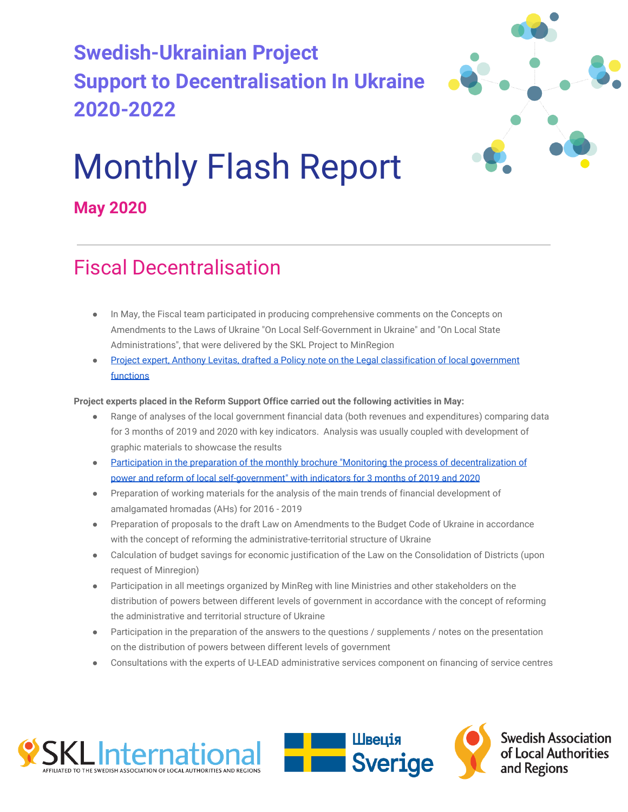# **Swedish-Ukrainian Project Support to Decentralisation In Ukraine 2020-2022**



# Monthly Flash Report

**May 2020**

# Fiscal Decentralisation

- In May, the Fiscal team participated in producing comprehensive comments on the Concepts on Amendments to the Laws of Ukraine "On Local Self-Government in Ukraine" and "On Local State Administrations", that were delivered by the SKL Project to MinRegion
- [Project expert, Anthony Levitas, drafted a Policy note on the Legal classification of local government](http://sklinternational.org.ua/wp-content/uploads/2020/06/LegalClassificationofLGfunctionsLevitasUA.pdf) [functions](http://sklinternational.org.ua/wp-content/uploads/2020/06/LegalClassificationofLGfunctionsLevitasUA.pdf)

#### **Project experts placed in the Reform Support Office carried out the following activities in May:**

- Range of analyses of the local government financial data (both revenues and expenditures) comparing data for 3 months of 2019 and 2020 with key indicators. Analysis was usually coupled with development of graphic materials to showcase the results
- [Participation in the preparation of the monthly brochure "Monitoring the process of decentralization of](https://decentralization.gov.ua/news/12503) [power and reform of local self-government" with indicators for 3 months of 2019 and 2020](https://decentralization.gov.ua/news/12503)
- Preparation of working materials for the analysis of the main trends of financial development of amalgamated hromadas (AHs) for 2016 - 2019
- Preparation of proposals to the draft Law on Amendments to the Budget Code of Ukraine in accordance with the concept of reforming the administrative-territorial structure of Ukraine
- Calculation of budget savings for economic justification of the Law on the Consolidation of Districts (upon request of Minregion)
- Participation in all meetings organized by MinReg with line Ministries and other stakeholders on the distribution of powers between different levels of government in accordance with the concept of reforming the administrative and territorial structure of Ukraine
- Participation in the preparation of the answers to the questions / supplements / notes on the presentation on the distribution of powers between different levels of government
- Consultations with the experts of U-LEAD administrative services component on financing of service centres





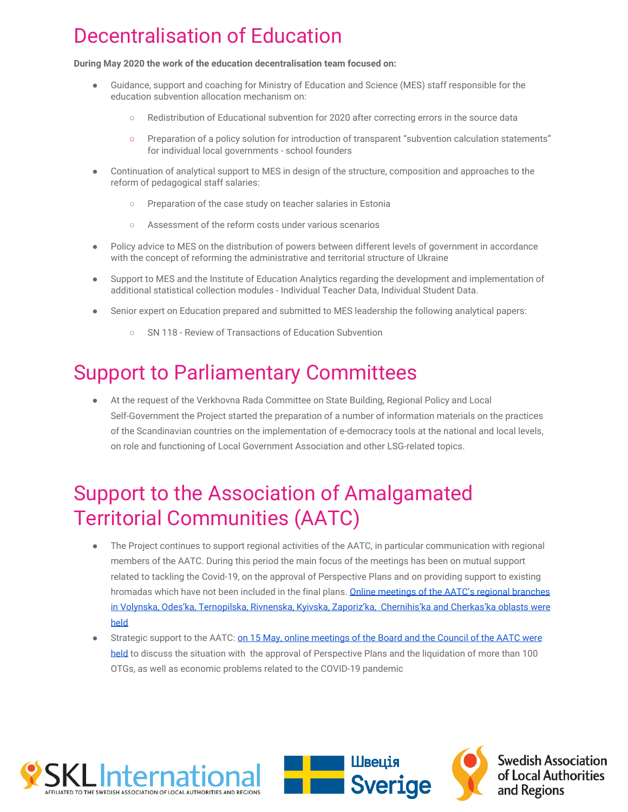# Decentralisation of Education

**During May 2020 the work of the education decentralisation team focused on:**

- Guidance, support and coaching for Ministry of Education and Science (MES) staff responsible for the education subvention allocation mechanism on:
	- Redistribution of Educational subvention for 2020 after correcting errors in the source data
	- Preparation of a policy solution for introduction of transparent "subvention calculation statements" for individual local governments - school founders
- Continuation of analytical support to MES in design of the structure, composition and approaches to the reform of pedagogical staff salaries:
	- Preparation of the case study on teacher salaries in Estonia
	- Assessment of the reform costs under various scenarios
- Policy advice to MES on the distribution of powers between different levels of government in accordance with the concept of reforming the administrative and territorial structure of Ukraine
- Support to MES and the Institute of Education Analytics regarding the development and implementation of additional statistical collection modules - Individual Teacher Data, Individual Student Data.
- Senior expert on Education prepared and submitted to MES leadership the following analytical papers:
	- SN 118 Review of Transactions of Education Subvention

## Support to Parliamentary Committees

At the request of the Verkhovna Rada Committee on State Building, Regional Policy and Local Self-Government the Project started the preparation of a number of information materials on the practices of the Scandinavian countries on the implementation of e-democracy tools at the national and local levels, on role and functioning of Local Government Association and other LSG-related topics.

## Support to the Association of Amalgamated Territorial Communities (AATC)

- The Project continues to support regional activities of the AATC, in particular communication with regional members of the AATC. During this period the main focus of the meetings has been on mutual support related to tackling the Covid-19, on the approval of Perspective Plans and on providing support to existing hromadas which have not been included in the final plans. [Online meetings of the AATC's regional branches](https://hromady.org/%d0%b2%d1%96%d0%b4%d0%b1%d1%83%d0%bb%d0%b8%d1%81%d1%8c-%d0%be%d0%bd%d0%bb%d0%b0%d0%b9%d0%bd-%d0%bd%d0%b0%d1%80%d0%b0%d0%b4%d0%b8-%d0%ba%d0%b8%d1%97%d0%b2%d1%81%d1%8c%d0%ba%d0%be%d0%b3%d0%be-%d0%b7/) [in Volynska, Odes'ka, Ternopilska, Rivnenska, Kyivska, Zaporiz'ka, Chernihis'ka and Cherkas'ka oblasts were](https://hromady.org/%d0%b2%d1%96%d0%b4%d0%b1%d1%83%d0%bb%d0%b8%d1%81%d1%8c-%d0%be%d0%bd%d0%bb%d0%b0%d0%b9%d0%bd-%d0%bd%d0%b0%d1%80%d0%b0%d0%b4%d0%b8-%d0%ba%d0%b8%d1%97%d0%b2%d1%81%d1%8c%d0%ba%d0%be%d0%b3%d0%be-%d0%b7/) [held](https://hromady.org/%d0%b2%d1%96%d0%b4%d0%b1%d1%83%d0%bb%d0%b8%d1%81%d1%8c-%d0%be%d0%bd%d0%bb%d0%b0%d0%b9%d0%bd-%d0%bd%d0%b0%d1%80%d0%b0%d0%b4%d0%b8-%d0%ba%d0%b8%d1%97%d0%b2%d1%81%d1%8c%d0%ba%d0%be%d0%b3%d0%be-%d0%b7/)
- Strategic support to the AATC: [on 15 May, online meetings of the Board and the Council of the AATC were](https://hromady.org/%d0%b2-%d0%b0%d1%81%d0%be%d1%86%d1%96%d0%b0%d1%86%d1%96%d1%97-%d0%be%d0%b1%d0%b3%d0%be%d0%b2%d0%be%d1%80%d0%b8%d0%bb%d0%b8-%d1%81%d0%b8%d1%82%d1%83%d0%b0%d1%86%d1%96%d1%8e-%d1%89%d0%be%d0%b4%d0%be/) [held](https://hromady.org/%d0%b2-%d0%b0%d1%81%d0%be%d1%86%d1%96%d0%b0%d1%86%d1%96%d1%97-%d0%be%d0%b1%d0%b3%d0%be%d0%b2%d0%be%d1%80%d0%b8%d0%bb%d0%b8-%d1%81%d0%b8%d1%82%d1%83%d0%b0%d1%86%d1%96%d1%8e-%d1%89%d0%be%d0%b4%d0%be/) to discuss the situation with the approval of Perspective Plans and the liquidation of more than 100 OTGs, as well as economic problems related to the COVID-19 pandemic



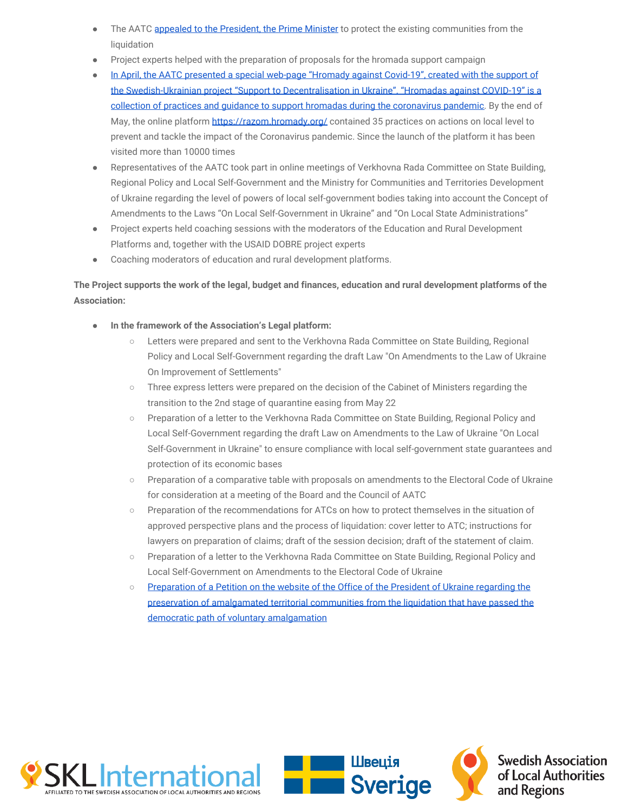- The AATC [appealed to the President, the Prime Minister](https://hromady.org/%d0%b0%d1%81%d0%be%d1%86%d1%96%d0%b0%d1%86%d1%96%d1%8f-%d0%be%d1%82%d0%b3-%d0%b7%d0%b2%d0%b5%d1%80%d0%bd%d1%83%d0%bb%d0%b0%d1%81%d1%8c-%d0%b4%d0%be-%d0%bf%d1%80%d0%b5%d0%b7%d0%b8%d0%b4%d0%b5%d0%bd/) to protect the existing communities from the liquidation
- Project experts helped with the preparation of proposals for the hromada support campaign
- [In April, the AATC presented a special web-page "Hromady against Covid-19", created with the support of](https://hromady.org/%d0%b0%d1%81%d0%be%d1%86%d1%96%d0%b0%d1%86%d1%96%d1%8f-%d0%be%d1%82%d0%b3-%d0%bf%d1%80%d0%b5%d0%b7%d0%b5%d0%bd%d1%82%d1%83%d0%b2%d0%b0%d0%bb%d0%b0-%d1%81%d0%bf%d0%b5%d1%86%d1%96%d0%b0%d0%bb%d1%96/) [the Swedish-Ukrainian project "Support to Decentralisation in Ukraine". "Hromadas against COVID-19" is a](https://hromady.org/%d0%b0%d1%81%d0%be%d1%86%d1%96%d0%b0%d1%86%d1%96%d1%8f-%d0%be%d1%82%d0%b3-%d0%bf%d1%80%d0%b5%d0%b7%d0%b5%d0%bd%d1%82%d1%83%d0%b2%d0%b0%d0%bb%d0%b0-%d1%81%d0%bf%d0%b5%d1%86%d1%96%d0%b0%d0%bb%d1%96/) [collection of practices and guidance to support hromadas during the coronavirus pandemic](https://hromady.org/%d0%b0%d1%81%d0%be%d1%86%d1%96%d0%b0%d1%86%d1%96%d1%8f-%d0%be%d1%82%d0%b3-%d0%bf%d1%80%d0%b5%d0%b7%d0%b5%d0%bd%d1%82%d1%83%d0%b2%d0%b0%d0%bb%d0%b0-%d1%81%d0%bf%d0%b5%d1%86%d1%96%d0%b0%d0%bb%d1%96/). By the end of May, the online platform <https://razom.hromady.org/>contained 35 practices on actions on local level to prevent and tackle the impact of the Coronavirus pandemic. Since the launch of the platform it has been visited more than 10000 times
- Representatives of the AATC took part in online meetings of Verkhovna Rada Committee on State Building, Regional Policy and Local Self-Government and the Ministry for Communities and Territories Development of Ukraine regarding the level of powers of local self-government bodies taking into account the Concept of Amendments to the Laws "On Local Self-Government in Ukraine" and "On Local State Administrations"
- Project experts held coaching sessions with the moderators of the Education and Rural Development Platforms and, together with the USAID DOBRE project experts
- Coaching moderators of education and rural development platforms.

#### **The Project supports the work of the legal, budget and finances, education and rural development platforms of the Association:**

- **In the framework of the Association's Legal platform:**
	- Letters were prepared and sent to the Verkhovna Rada Committee on State Building, Regional Policy and Local Self-Government regarding the draft Law "On Amendments to the Law of Ukraine On Improvement of Settlements"
	- Three express letters were prepared on the decision of the Cabinet of Ministers regarding the transition to the 2nd stage of quarantine easing from May 22
	- Preparation of a letter to the Verkhovna Rada Committee on State Building, Regional Policy and Local Self-Government regarding the draft Law on Amendments to the Law of Ukraine "On Local Self-Government in Ukraine" to ensure compliance with local self-government state guarantees and protection of its economic bases
	- Preparation of a comparative table with proposals on amendments to the Electoral Code of Ukraine for consideration at a meeting of the Board and the Council of AATC
	- Preparation of the recommendations for ATCs on how to protect themselves in the situation of approved perspective plans and the process of liquidation: cover letter to ATC; instructions for lawyers on preparation of claims; draft of the session decision; draft of the statement of claim.
	- Preparation of a letter to the Verkhovna Rada Committee on State Building, Regional Policy and Local Self-Government on Amendments to the Electoral Code of Ukraine
	- [Preparation of a Petition on the website of the Office of the President of Ukraine regarding the](https://petition.president.gov.ua/petition/97256) [preservation of amalgamated territorial communities from the liquidation that have passed the](https://petition.president.gov.ua/petition/97256) [democratic path of voluntary amalgamation](https://petition.president.gov.ua/petition/97256)



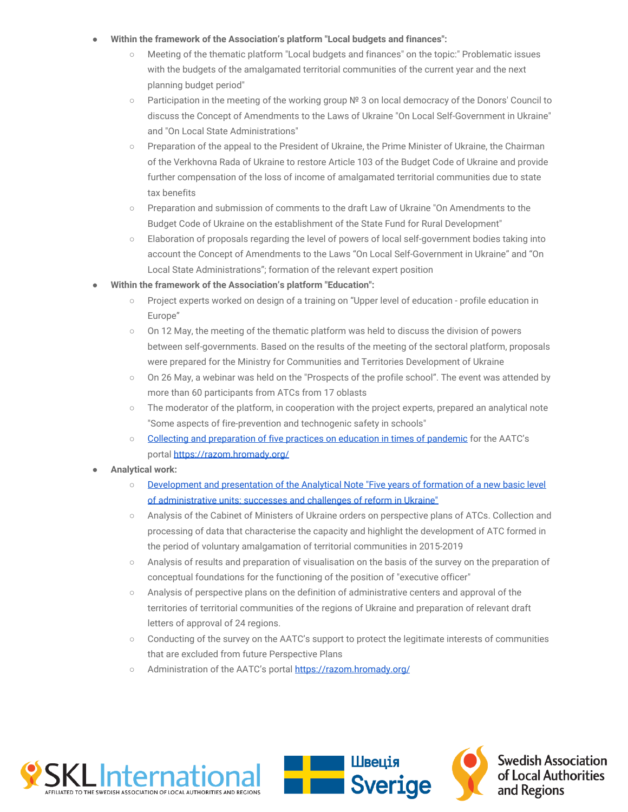#### Within the framework of the Association's platform "Local budgets and finances":

- Meeting of the thematic platform "Local budgets and finances" on the topic:" Problematic issues with the budgets of the amalgamated territorial communities of the current year and the next planning budget period"
- Participation in the meeting of the working group № 3 on local democracy of the Donors' Council to discuss the Concept of Amendments to the Laws of Ukraine "On Local Self-Government in Ukraine" and "On Local State Administrations"
- Preparation of the appeal to the President of Ukraine, the Prime Minister of Ukraine, the Chairman of the Verkhovna Rada of Ukraine to restore Article 103 of the Budget Code of Ukraine and provide further compensation of the loss of income of amalgamated territorial communities due to state tax benefits
- Preparation and submission of comments to the draft Law of Ukraine "On Amendments to the Budget Code of Ukraine on the establishment of the State Fund for Rural Development"
- Elaboration of proposals regarding the level of powers of local self-government bodies taking into account the Concept of Amendments to the Laws "On Local Self-Government in Ukraine" and "On Local State Administrations"; formation of the relevant expert position
- Within the framework of the Association's platform "Education":
	- Project experts worked on design of a training on "Upper level of education profile education in Europe"
	- On 12 May, the meeting of the thematic platform was held to discuss the division of powers between self-governments. Based on the results of the meeting of the sectoral platform, proposals were prepared for the Ministry for Communities and Territories Development of Ukraine
	- On 26 May, a webinar was held on the "Prospects of the profile school". The event was attended by more than 60 participants from ATCs from 17 oblasts
	- The moderator of the platform, in cooperation with the project experts, prepared an analytical note "Some aspects of fire-prevention and technogenic safety in schools"
	- [Collecting and preparation of five practices on education in times of pandemic](https://razom.hromady.org/%d0%bd%d0%b0%d0%bb%d0%b5%d0%b6%d0%bd%d0%b0-%d0%bf%d1%80%d0%b0%d0%ba%d1%82%d0%b8%d0%ba%d0%b0-2/) for the AATC's portal <https://razom.hromady.org/>
- **● Analytical work:**
	- [Development and presentation of the Analytical Note "Five years of formation of a new basic level](https://hromady.org/%D0%BE%D0%BF%D0%B8%D1%82%D1%83%D0%B2%D0%B0%D0%BD%D0%BD%D1%8F/) [of administrative units: successes and challenges of reform in Ukraine"](https://hromady.org/%D0%BE%D0%BF%D0%B8%D1%82%D1%83%D0%B2%D0%B0%D0%BD%D0%BD%D1%8F/)
	- Analysis of the Cabinet of Ministers of Ukraine orders on perspective plans of ATCs. Collection and processing of data that characterise the capacity and highlight the development of ATC formed in the period of voluntary amalgamation of territorial communities in 2015-2019
	- Analysis of results and preparation of visualisation on the basis of the survey on the preparation of conceptual foundations for the functioning of the position of "executive officer"
	- Analysis of perspective plans on the definition of administrative centers and approval of the territories of territorial communities of the regions of Ukraine and preparation of relevant draft letters of approval of 24 regions.
	- Conducting of the survey on the AATC's support to protect the legitimate interests of communities that are excluded from future Perspective Plans
	- Administration of the AATC's portal <https://razom.hromady.org/>